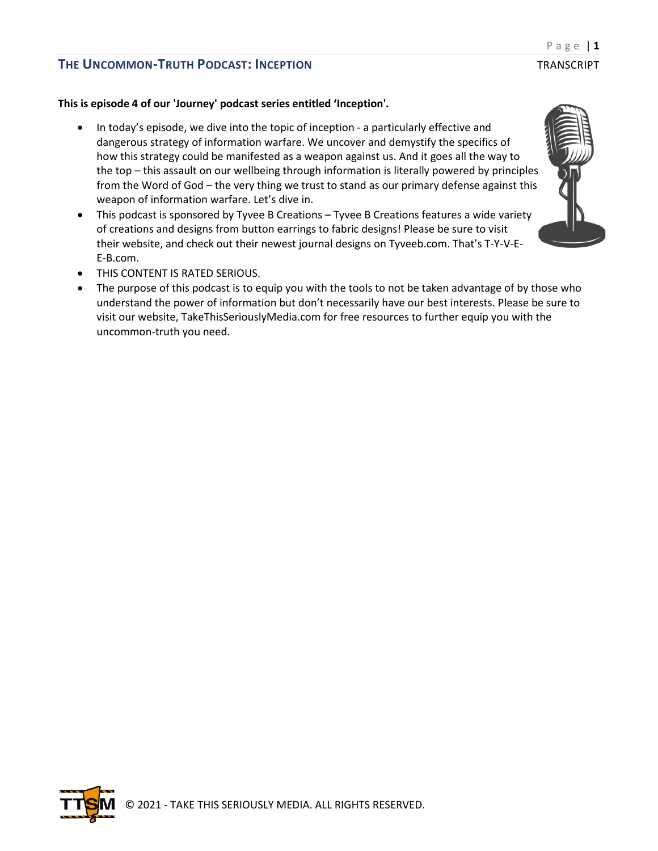#### **This is episode 4 of our 'Journey' podcast series entitled 'Inception'.**

- In today's episode, we dive into the topic of inception a particularly effective and dangerous strategy of information warfare. We uncover and demystify the specifics of how this strategy could be manifested as a weapon against us. And it goes all the way to the top – this assault on our wellbeing through information is literally powered by principles from the Word of God – the very thing we trust to stand as our primary defense against this weapon of information warfare. Let's dive in.
- This podcast is sponsored by Tyvee B Creations Tyvee B Creations features a wide variety of creations and designs from button earrings to fabric designs! Please be sure to visit their website, and check out their newest journal designs on Tyveeb.com. That's T-Y-V-E-E-B.com.
- THIS CONTENT IS RATED SERIOUS.
- The purpose of this podcast is to equip you with the tools to not be taken advantage of by those who understand the power of information but don't necessarily have our best interests. Please be sure to visit our website, TakeThisSeriouslyMedia.com for free resources to further equip you with the uncommon-truth you need.

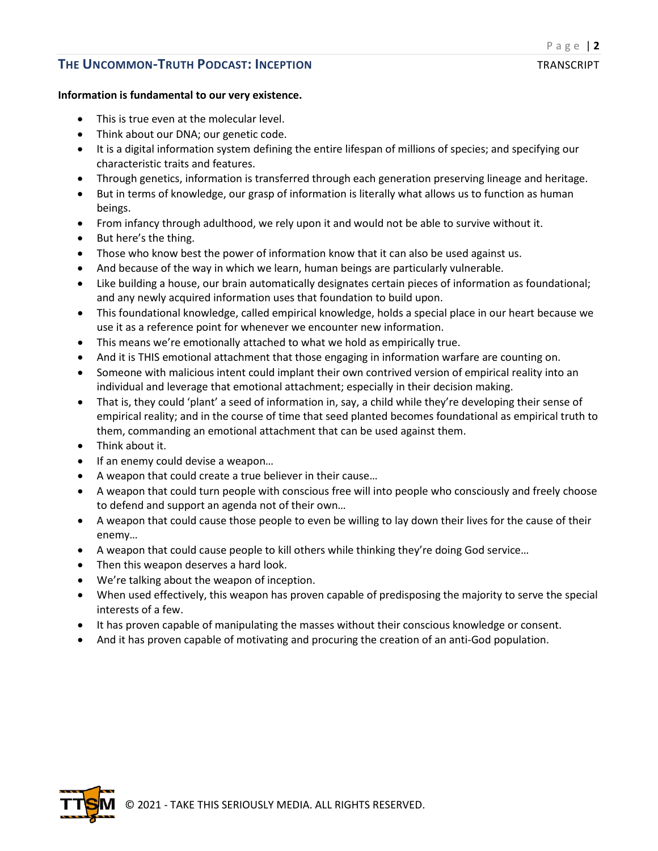#### **Information is fundamental to our very existence.**

- This is true even at the molecular level.
- Think about our DNA; our genetic code.
- It is a digital information system defining the entire lifespan of millions of species; and specifying our characteristic traits and features.
- Through genetics, information is transferred through each generation preserving lineage and heritage.
- But in terms of knowledge, our grasp of information is literally what allows us to function as human beings.
- From infancy through adulthood, we rely upon it and would not be able to survive without it.
- But here's the thing.
- Those who know best the power of information know that it can also be used against us.
- And because of the way in which we learn, human beings are particularly vulnerable.
- Like building a house, our brain automatically designates certain pieces of information as foundational; and any newly acquired information uses that foundation to build upon.
- This foundational knowledge, called empirical knowledge, holds a special place in our heart because we use it as a reference point for whenever we encounter new information.
- This means we're emotionally attached to what we hold as empirically true.
- And it is THIS emotional attachment that those engaging in information warfare are counting on.
- Someone with malicious intent could implant their own contrived version of empirical reality into an individual and leverage that emotional attachment; especially in their decision making.
- That is, they could 'plant' a seed of information in, say, a child while they're developing their sense of empirical reality; and in the course of time that seed planted becomes foundational as empirical truth to them, commanding an emotional attachment that can be used against them.
- Think about it.
- If an enemy could devise a weapon...
- A weapon that could create a true believer in their cause…
- A weapon that could turn people with conscious free will into people who consciously and freely choose to defend and support an agenda not of their own…
- A weapon that could cause those people to even be willing to lay down their lives for the cause of their enemy…
- A weapon that could cause people to kill others while thinking they're doing God service…
- Then this weapon deserves a hard look.
- We're talking about the weapon of inception.
- When used effectively, this weapon has proven capable of predisposing the majority to serve the special interests of a few.
- It has proven capable of manipulating the masses without their conscious knowledge or consent.
- And it has proven capable of motivating and procuring the creation of an anti-God population.

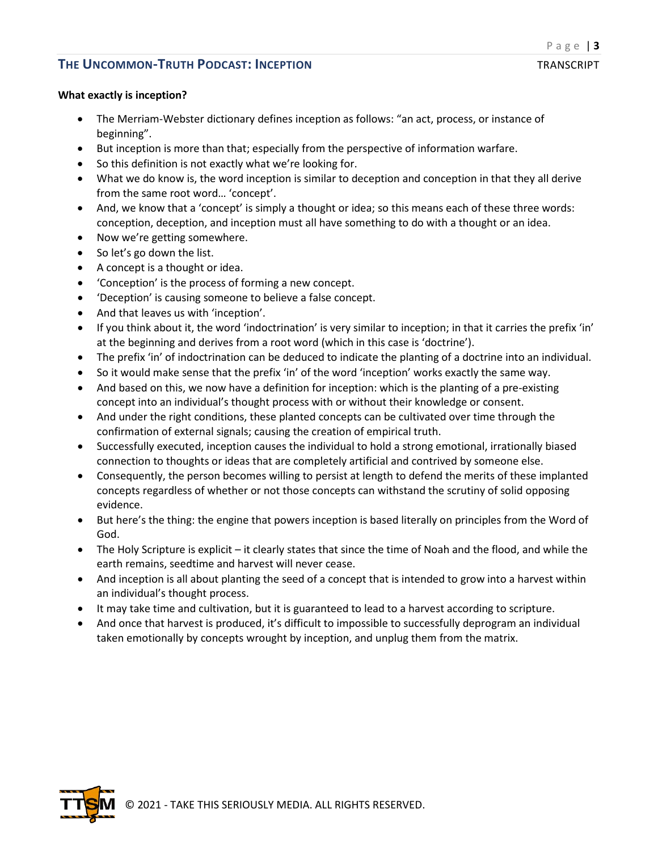### **What exactly is inception?**

- The Merriam-Webster dictionary defines inception as follows: "an act, process, or instance of beginning".
- But inception is more than that; especially from the perspective of information warfare.
- So this definition is not exactly what we're looking for.
- What we do know is, the word inception is similar to deception and conception in that they all derive from the same root word… 'concept'.
- And, we know that a 'concept' is simply a thought or idea; so this means each of these three words: conception, deception, and inception must all have something to do with a thought or an idea.
- Now we're getting somewhere.
- So let's go down the list.
- A concept is a thought or idea.
- 'Conception' is the process of forming a new concept.
- 'Deception' is causing someone to believe a false concept.
- And that leaves us with 'inception'.
- If you think about it, the word 'indoctrination' is very similar to inception; in that it carries the prefix 'in' at the beginning and derives from a root word (which in this case is 'doctrine').
- The prefix 'in' of indoctrination can be deduced to indicate the planting of a doctrine into an individual.
- So it would make sense that the prefix 'in' of the word 'inception' works exactly the same way.
- And based on this, we now have a definition for inception: which is the planting of a pre-existing concept into an individual's thought process with or without their knowledge or consent.
- And under the right conditions, these planted concepts can be cultivated over time through the confirmation of external signals; causing the creation of empirical truth.
- Successfully executed, inception causes the individual to hold a strong emotional, irrationally biased connection to thoughts or ideas that are completely artificial and contrived by someone else.
- Consequently, the person becomes willing to persist at length to defend the merits of these implanted concepts regardless of whether or not those concepts can withstand the scrutiny of solid opposing evidence.
- But here's the thing: the engine that powers inception is based literally on principles from the Word of God.
- The Holy Scripture is explicit it clearly states that since the time of Noah and the flood, and while the earth remains, seedtime and harvest will never cease.
- And inception is all about planting the seed of a concept that is intended to grow into a harvest within an individual's thought process.
- It may take time and cultivation, but it is guaranteed to lead to a harvest according to scripture.
- And once that harvest is produced, it's difficult to impossible to successfully deprogram an individual taken emotionally by concepts wrought by inception, and unplug them from the matrix.

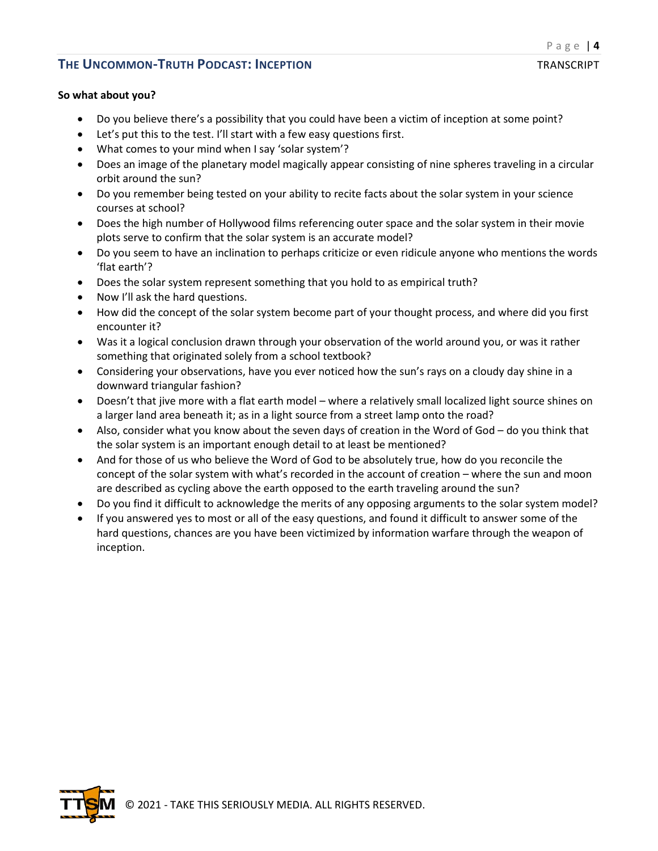### **So what about you?**

- Do you believe there's a possibility that you could have been a victim of inception at some point?
- Let's put this to the test. I'll start with a few easy questions first.
- What comes to your mind when I say 'solar system'?
- Does an image of the planetary model magically appear consisting of nine spheres traveling in a circular orbit around the sun?
- Do you remember being tested on your ability to recite facts about the solar system in your science courses at school?
- Does the high number of Hollywood films referencing outer space and the solar system in their movie plots serve to confirm that the solar system is an accurate model?
- Do you seem to have an inclination to perhaps criticize or even ridicule anyone who mentions the words 'flat earth'?
- Does the solar system represent something that you hold to as empirical truth?
- Now I'll ask the hard questions.
- How did the concept of the solar system become part of your thought process, and where did you first encounter it?
- Was it a logical conclusion drawn through your observation of the world around you, or was it rather something that originated solely from a school textbook?
- Considering your observations, have you ever noticed how the sun's rays on a cloudy day shine in a downward triangular fashion?
- Doesn't that jive more with a flat earth model where a relatively small localized light source shines on a larger land area beneath it; as in a light source from a street lamp onto the road?
- Also, consider what you know about the seven days of creation in the Word of God do you think that the solar system is an important enough detail to at least be mentioned?
- And for those of us who believe the Word of God to be absolutely true, how do you reconcile the concept of the solar system with what's recorded in the account of creation – where the sun and moon are described as cycling above the earth opposed to the earth traveling around the sun?
- Do you find it difficult to acknowledge the merits of any opposing arguments to the solar system model?
- If you answered yes to most or all of the easy questions, and found it difficult to answer some of the hard questions, chances are you have been victimized by information warfare through the weapon of inception.

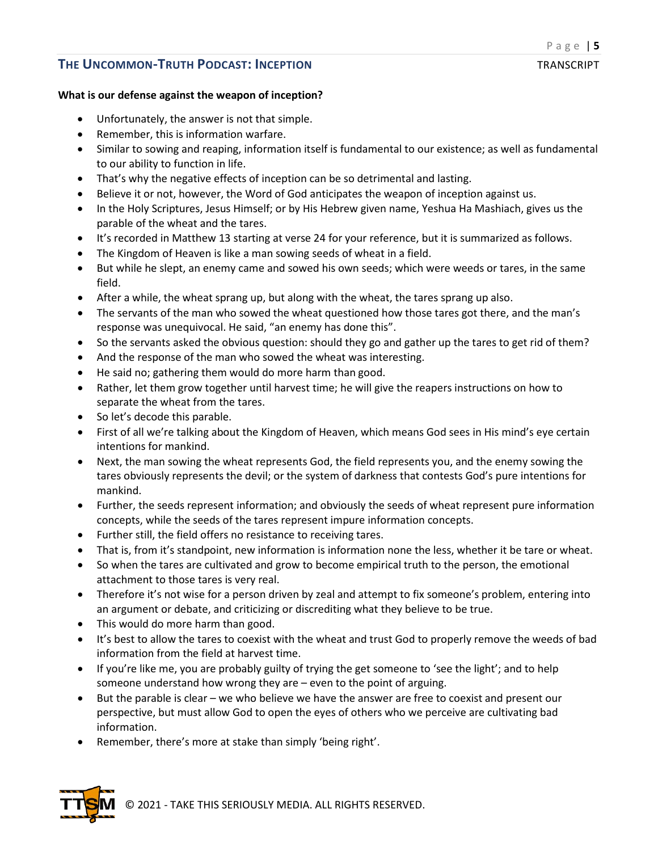### **What is our defense against the weapon of inception?**

- Unfortunately, the answer is not that simple.
- Remember, this is information warfare.
- Similar to sowing and reaping, information itself is fundamental to our existence; as well as fundamental to our ability to function in life.
- That's why the negative effects of inception can be so detrimental and lasting.
- Believe it or not, however, the Word of God anticipates the weapon of inception against us.
- In the Holy Scriptures, Jesus Himself; or by His Hebrew given name, Yeshua Ha Mashiach, gives us the parable of the wheat and the tares.
- It's recorded in Matthew 13 starting at verse 24 for your reference, but it is summarized as follows.
- The Kingdom of Heaven is like a man sowing seeds of wheat in a field.
- But while he slept, an enemy came and sowed his own seeds; which were weeds or tares, in the same field.
- After a while, the wheat sprang up, but along with the wheat, the tares sprang up also.
- The servants of the man who sowed the wheat questioned how those tares got there, and the man's response was unequivocal. He said, "an enemy has done this".
- So the servants asked the obvious question: should they go and gather up the tares to get rid of them?
- And the response of the man who sowed the wheat was interesting.
- He said no; gathering them would do more harm than good.
- Rather, let them grow together until harvest time; he will give the reapers instructions on how to separate the wheat from the tares.
- So let's decode this parable.
- First of all we're talking about the Kingdom of Heaven, which means God sees in His mind's eye certain intentions for mankind.
- Next, the man sowing the wheat represents God, the field represents you, and the enemy sowing the tares obviously represents the devil; or the system of darkness that contests God's pure intentions for mankind.
- Further, the seeds represent information; and obviously the seeds of wheat represent pure information concepts, while the seeds of the tares represent impure information concepts.
- Further still, the field offers no resistance to receiving tares.
- That is, from it's standpoint, new information is information none the less, whether it be tare or wheat.
- So when the tares are cultivated and grow to become empirical truth to the person, the emotional attachment to those tares is very real.
- Therefore it's not wise for a person driven by zeal and attempt to fix someone's problem, entering into an argument or debate, and criticizing or discrediting what they believe to be true.
- This would do more harm than good.
- It's best to allow the tares to coexist with the wheat and trust God to properly remove the weeds of bad information from the field at harvest time.
- If you're like me, you are probably guilty of trying the get someone to 'see the light'; and to help someone understand how wrong they are – even to the point of arguing.
- But the parable is clear we who believe we have the answer are free to coexist and present our perspective, but must allow God to open the eyes of others who we perceive are cultivating bad information.
- Remember, there's more at stake than simply 'being right'.